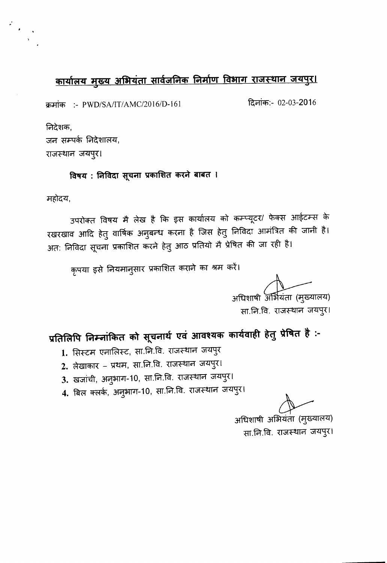## <u>कार्यालय मुख्य अभियंता सार्वजनिक निर्माण विभाग राजस्थान जयपुर।</u>

*<sup>~</sup> :- PWD/SA/IT/AMC/2016/D-161* ~CT"IiCf1:- 02-03-2016

निदेशक,

:<br>:<br>:<br>:<br>:<br><br>:<br><br><br><br><br><br><br><br><br><br><br><br>

जन सम्पर्क निदेशालय, राजस्थान जयपुर।

विषय : निविदा सूचना प्रकाशित करने बाबत ।

महोदय,

उपरोक्त विषय मै लेख है कि इस कार्यालय को कम्प्यूटर/ फेक्स आईटम्स के रखरखाव आदि हेतु वार्षिक अनुबन्ध करना है जिस हेतु निर्विदा आमात्रत की जीनी है। अत: निविदा सूचना प्रकाशित करने हेतु आठ प्रतियो मै प्रेषित की जा रही है।

कृपया इसे नियमानुसार प्रकाशित कराने का श्रम करें।

अधिशाषी अर्भियंता (मुख्यालय) सा.नि.वि. राजस्थान जयपुर।

प्रतिलिपि निम्नांकित को सूचनार्थ एवं आवश्यक कार्यवाही हेतु प्रेषित है :-

- 1. सिस्टम एनालिस्ट, सा.नि.वि. राजस्थान जयपुर
- 2. लेखाकार प्रथम, सा.नि.वि. राजस्थान जयपुर।
- 3. खजांची, अनुभाग-10, सा.नि.वि. राजस्थान जयपुर।
- 4. बिल क्लर्क, अनुभाग-10, सा.नि.वि. राजस्थान जयपुर।

्त<br>अधिशाषी अभियंता (मुख्यालय) सा.नि.वि. राजस्थान जयपुर।